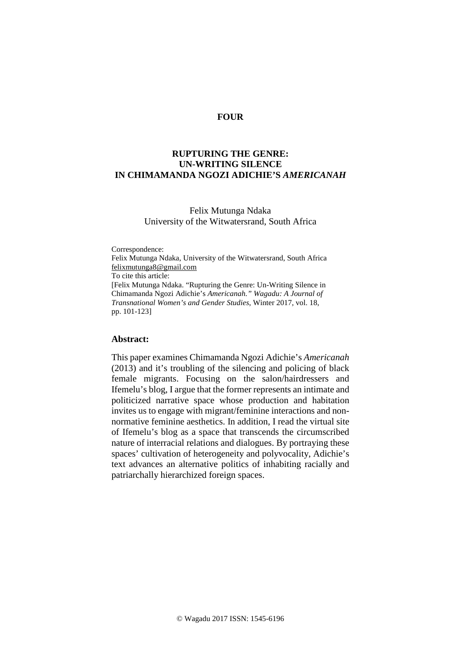# **FOUR**

# **RUPTURING THE GENRE: UN-WRITING SILENCE IN CHIMAMANDA NGOZI ADICHIE'S** *AMERICANAH*

# Felix Mutunga Ndaka University of the Witwatersrand, South Africa

Correspondence: Felix Mutunga Ndaka, University of the Witwatersrand, South Africa [felixmutunga8@gmail.com](mailto:felixmutunga8@gmail.com) To cite this article: [Felix Mutunga Ndaka. "Rupturing the Genre: Un-Writing Silence in Chimamanda Ngozi Adichie's *Americanah." Wagadu: A Journal of Transnational Women's and Gender Studies*, Winter 2017, vol. 18, pp. 101-123]

#### **Abstract:**

This paper examines Chimamanda Ngozi Adichie's *Americanah* (2013) and it's troubling of the silencing and policing of black female migrants. Focusing on the salon/hairdressers and Ifemelu's blog, I argue that the former represents an intimate and politicized narrative space whose production and habitation invites us to engage with migrant/feminine interactions and nonnormative feminine aesthetics. In addition, I read the virtual site of Ifemelu's blog as a space that transcends the circumscribed nature of interracial relations and dialogues. By portraying these spaces' cultivation of heterogeneity and polyvocality, Adichie's text advances an alternative politics of inhabiting racially and patriarchally hierarchized foreign spaces.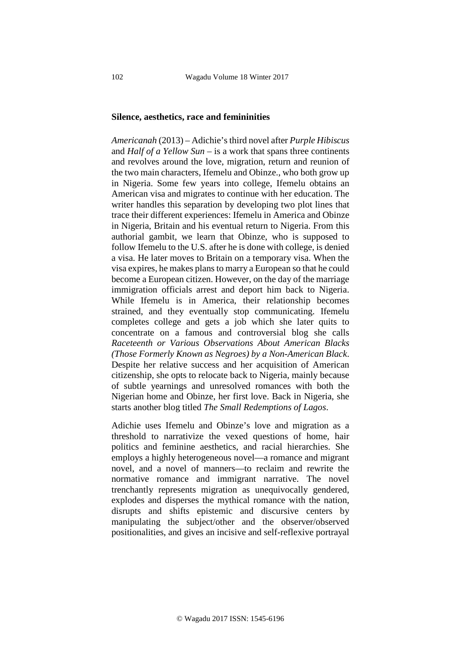### **Silence, aesthetics, race and femininities**

*Americanah* (2013) – Adichie's third novel after *Purple Hibiscus* and *Half of a Yellow Sun* – is a work that spans three continents and revolves around the love, migration, return and reunion of the two main characters, Ifemelu and Obinze., who both grow up in Nigeria. Some few years into college, Ifemelu obtains an American visa and migrates to continue with her education. The writer handles this separation by developing two plot lines that trace their different experiences: Ifemelu in America and Obinze in Nigeria, Britain and his eventual return to Nigeria. From this authorial gambit, we learn that Obinze, who is supposed to follow Ifemelu to the U.S. after he is done with college, is denied a visa. He later moves to Britain on a temporary visa. When the visa expires, he makes plans to marry a European so that he could become a European citizen. However, on the day of the marriage immigration officials arrest and deport him back to Nigeria. While Ifemelu is in America, their relationship becomes strained, and they eventually stop communicating. Ifemelu completes college and gets a job which she later quits to concentrate on a famous and controversial blog she calls *Raceteenth or Various Observations About American Blacks (Those Formerly Known as Negroes) by a Non-American Black*. Despite her relative success and her acquisition of American citizenship, she opts to relocate back to Nigeria, mainly because of subtle yearnings and unresolved romances with both the Nigerian home and Obinze, her first love. Back in Nigeria, she starts another blog titled *The Small Redemptions of Lagos*.

Adichie uses Ifemelu and Obinze's love and migration as a threshold to narrativize the vexed questions of home, hair politics and feminine aesthetics, and racial hierarchies. She employs a highly heterogeneous novel—a romance and migrant novel, and a novel of manners—to reclaim and rewrite the normative romance and immigrant narrative. The novel trenchantly represents migration as unequivocally gendered, explodes and disperses the mythical romance with the nation, disrupts and shifts epistemic and discursive centers by manipulating the subject/other and the observer/observed positionalities, and gives an incisive and self-reflexive portrayal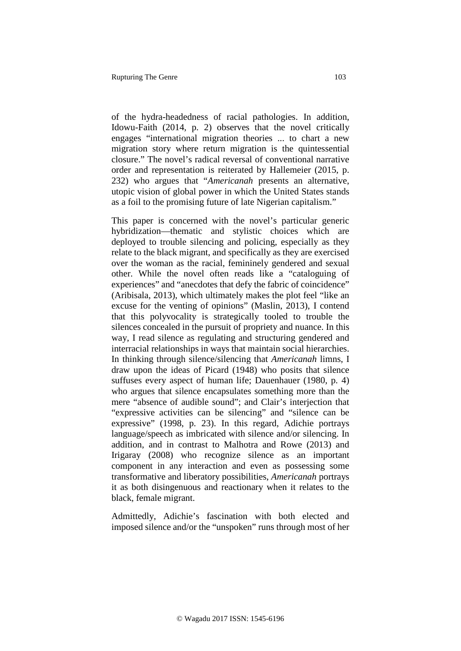of the hydra-headedness of racial pathologies. In addition, Idowu-Faith (2014, p. 2) observes that the novel critically engages "international migration theories ... to chart a new migration story where return migration is the quintessential closure." The novel's radical reversal of conventional narrative order and representation is reiterated by Hallemeier (2015, p. 232) who argues that "*Americanah* presents an alternative, utopic vision of global power in which the United States stands as a foil to the promising future of late Nigerian capitalism."

This paper is concerned with the novel's particular generic hybridization—thematic and stylistic choices which are deployed to trouble silencing and policing, especially as they relate to the black migrant, and specifically as they are exercised over the woman as the racial, femininely gendered and sexual other. While the novel often reads like a "cataloguing of experiences" and "anecdotes that defy the fabric of coincidence" (Aribisala, 2013), which ultimately makes the plot feel "like an excuse for the venting of opinions" (Maslin, 2013), I contend that this polyvocality is strategically tooled to trouble the silences concealed in the pursuit of propriety and nuance. In this way, I read silence as regulating and structuring gendered and interracial relationships in ways that maintain social hierarchies. In thinking through silence/silencing that *Americanah* limns, I draw upon the ideas of Picard (1948) who posits that silence suffuses every aspect of human life; Dauenhauer (1980, p. 4) who argues that silence encapsulates something more than the mere "absence of audible sound"; and Clair's interjection that "expressive activities can be silencing" and "silence can be expressive" (1998, p. 23). In this regard, Adichie portrays language/speech as imbricated with silence and/or silencing. In addition, and in contrast to Malhotra and Rowe (2013) and Irigaray (2008) who recognize silence as an important component in any interaction and even as possessing some transformative and liberatory possibilities, *Americanah* portrays it as both disingenuous and reactionary when it relates to the black, female migrant.

Admittedly, Adichie's fascination with both elected and imposed silence and/or the "unspoken" runs through most of her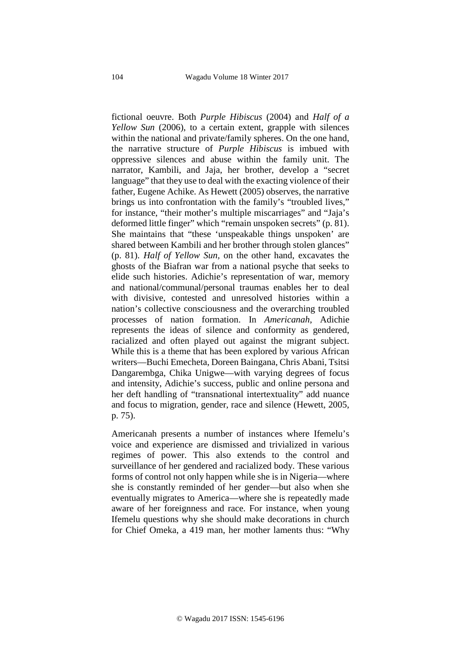fictional oeuvre. Both *Purple Hibiscus* (2004) and *Half of a Yellow Sun* (2006), to a certain extent, grapple with silences within the national and private/family spheres. On the one hand, the narrative structure of *Purple Hibiscus* is imbued with oppressive silences and abuse within the family unit. The narrator, Kambili, and Jaja, her brother, develop a "secret language" that they use to deal with the exacting violence of their father, Eugene Achike. As Hewett (2005) observes, the narrative brings us into confrontation with the family's "troubled lives," for instance, "their mother's multiple miscarriages" and "Jaja's deformed little finger" which "remain unspoken secrets" (p. 81). She maintains that "these 'unspeakable things unspoken' are shared between Kambili and her brother through stolen glances" (p. 81). *Half of Yellow Sun,* on the other hand, excavates the ghosts of the Biafran war from a national psyche that seeks to elide such histories. Adichie's representation of war, memory and national/communal/personal traumas enables her to deal with divisive, contested and unresolved histories within a nation's collective consciousness and the overarching troubled processes of nation formation. In *Americanah*, Adichie represents the ideas of silence and conformity as gendered, racialized and often played out against the migrant subject. While this is a theme that has been explored by various African writers—Buchi Emecheta, Doreen Baingana, Chris Abani, Tsitsi Dangarembga, Chika Unigwe—with varying degrees of focus and intensity, Adichie's success, public and online persona and her deft handling of "transnational intertextuality" add nuance and focus to migration, gender, race and silence (Hewett, 2005, p. 75).

Americanah presents a number of instances where Ifemelu's voice and experience are dismissed and trivialized in various regimes of power. This also extends to the control and surveillance of her gendered and racialized body. These various forms of control not only happen while she is in Nigeria—where she is constantly reminded of her gender—but also when she eventually migrates to America—where she is repeatedly made aware of her foreignness and race. For instance, when young Ifemelu questions why she should make decorations in church for Chief Omeka, a 419 man, her mother laments thus: "Why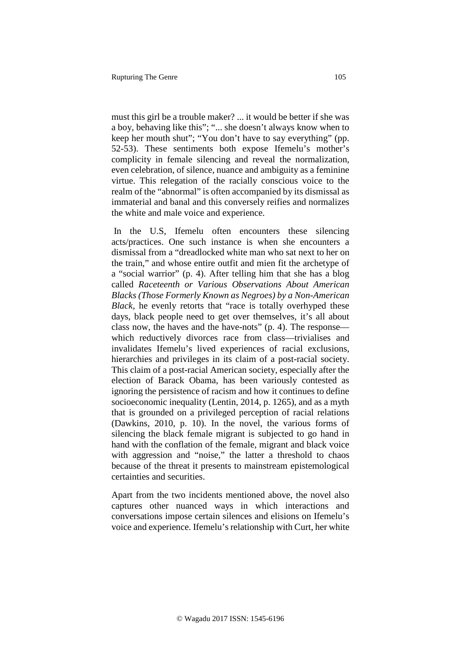must this girl be a trouble maker? ... it would be better if she was a boy, behaving like this"; "... she doesn't always know when to keep her mouth shut"; "You don't have to say everything" (pp. 52-53). These sentiments both expose Ifemelu's mother's complicity in female silencing and reveal the normalization, even celebration, of silence, nuance and ambiguity as a feminine virtue. This relegation of the racially conscious voice to the realm of the "abnormal" is often accompanied by its dismissal as immaterial and banal and this conversely reifies and normalizes the white and male voice and experience.

In the U.S, Ifemelu often encounters these silencing acts/practices. One such instance is when she encounters a dismissal from a "dreadlocked white man who sat next to her on the train," and whose entire outfit and mien fit the archetype of a "social warrior" (p. 4). After telling him that she has a blog called *Raceteenth or Various Observations About American Blacks (Those Formerly Known as Negroes) by a Non-American Black*, he evenly retorts that "race is totally overhyped these days, black people need to get over themselves, it's all about class now, the haves and the have-nots" (p. 4). The response which reductively divorces race from class—trivialises and invalidates Ifemelu's lived experiences of racial exclusions, hierarchies and privileges in its claim of a post-racial society. This claim of a post-racial American society, especially after the election of Barack Obama, has been variously contested as ignoring the persistence of racism and how it continues to define socioeconomic inequality (Lentin, 2014, p. 1265), and as a myth that is grounded on a privileged perception of racial relations (Dawkins, 2010, p. 10). In the novel, the various forms of silencing the black female migrant is subjected to go hand in hand with the conflation of the female, migrant and black voice with aggression and "noise," the latter a threshold to chaos because of the threat it presents to mainstream epistemological certainties and securities.

Apart from the two incidents mentioned above, the novel also captures other nuanced ways in which interactions and conversations impose certain silences and elisions on Ifemelu's voice and experience. Ifemelu's relationship with Curt, her white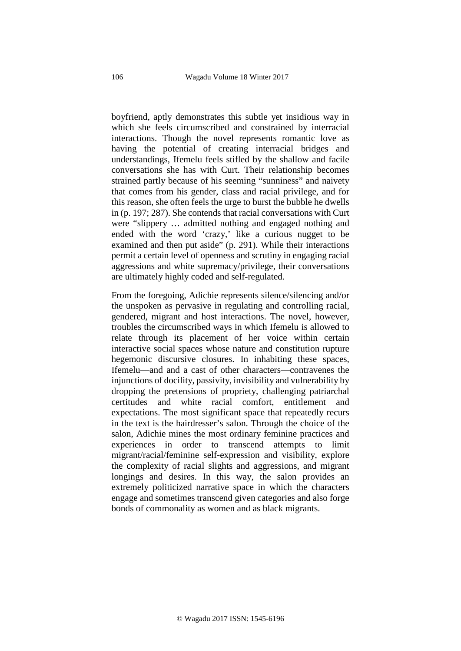boyfriend, aptly demonstrates this subtle yet insidious way in which she feels circumscribed and constrained by interracial interactions. Though the novel represents romantic love as having the potential of creating interracial bridges and understandings, Ifemelu feels stifled by the shallow and facile conversations she has with Curt. Their relationship becomes strained partly because of his seeming "sunniness" and naivety that comes from his gender, class and racial privilege, and for this reason, she often feels the urge to burst the bubble he dwells in (p. 197; 287). She contends that racial conversations with Curt were "slippery … admitted nothing and engaged nothing and ended with the word 'crazy,' like a curious nugget to be examined and then put aside" (p. 291). While their interactions permit a certain level of openness and scrutiny in engaging racial aggressions and white supremacy/privilege, their conversations are ultimately highly coded and self-regulated.

From the foregoing, Adichie represents silence/silencing and/or the unspoken as pervasive in regulating and controlling racial, gendered, migrant and host interactions. The novel, however, troubles the circumscribed ways in which Ifemelu is allowed to relate through its placement of her voice within certain interactive social spaces whose nature and constitution rupture hegemonic discursive closures. In inhabiting these spaces, Ifemelu—and and a cast of other characters—contravenes the injunctions of docility, passivity, invisibility and vulnerability by dropping the pretensions of propriety, challenging patriarchal certitudes and white racial comfort, entitlement and expectations. The most significant space that repeatedly recurs in the text is the hairdresser's salon. Through the choice of the salon, Adichie mines the most ordinary feminine practices and experiences in order to transcend attempts to limit migrant/racial/feminine self-expression and visibility, explore the complexity of racial slights and aggressions, and migrant longings and desires. In this way, the salon provides an extremely politicized narrative space in which the characters engage and sometimes transcend given categories and also forge bonds of commonality as women and as black migrants.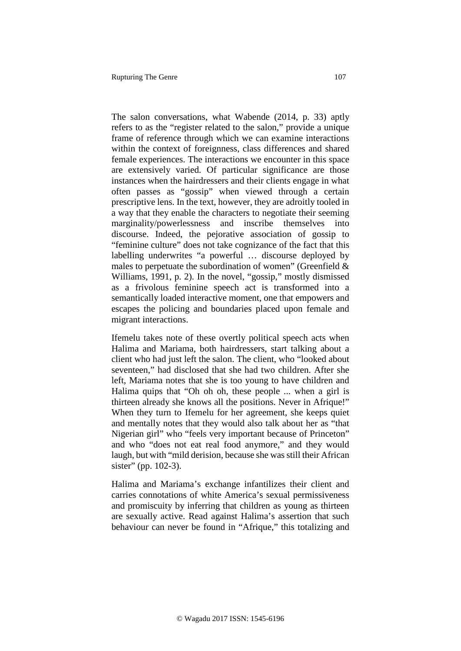The salon conversations, what Wabende (2014, p. 33) aptly refers to as the "register related to the salon," provide a unique frame of reference through which we can examine interactions within the context of foreignness, class differences and shared female experiences. The interactions we encounter in this space are extensively varied. Of particular significance are those instances when the hairdressers and their clients engage in what often passes as "gossip" when viewed through a certain prescriptive lens. In the text, however, they are adroitly tooled in a way that they enable the characters to negotiate their seeming marginality/powerlessness and inscribe themselves into discourse. Indeed, the pejorative association of gossip to "feminine culture" does not take cognizance of the fact that this labelling underwrites "a powerful … discourse deployed by males to perpetuate the subordination of women" (Greenfield  $\&$ Williams, 1991, p. 2). In the novel, "gossip," mostly dismissed as a frivolous feminine speech act is transformed into a semantically loaded interactive moment, one that empowers and escapes the policing and boundaries placed upon female and migrant interactions.

Ifemelu takes note of these overtly political speech acts when Halima and Mariama, both hairdressers, start talking about a client who had just left the salon. The client, who "looked about seventeen," had disclosed that she had two children. After she left, Mariama notes that she is too young to have children and Halima quips that "Oh oh oh, these people ... when a girl is thirteen already she knows all the positions. Never in Afrique!" When they turn to Ifemelu for her agreement, she keeps quiet and mentally notes that they would also talk about her as "that Nigerian girl" who "feels very important because of Princeton" and who "does not eat real food anymore," and they would laugh, but with "mild derision, because she was still their African sister" (pp. 102-3).

Halima and Mariama's exchange infantilizes their client and carries connotations of white America's sexual permissiveness and promiscuity by inferring that children as young as thirteen are sexually active. Read against Halima's assertion that such behaviour can never be found in "Afrique," this totalizing and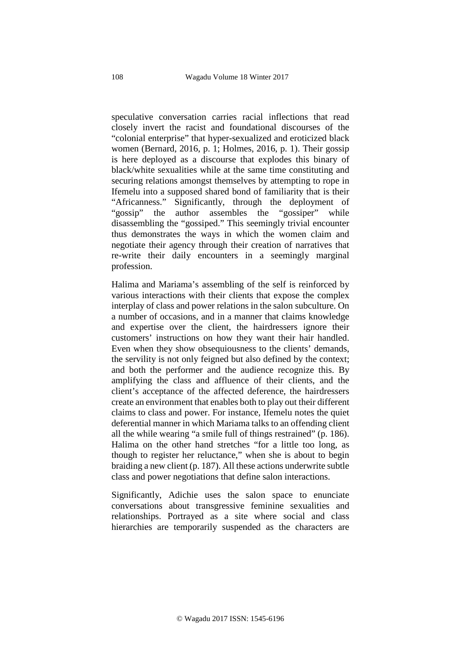speculative conversation carries racial inflections that read closely invert the racist and foundational discourses of the "colonial enterprise" that hyper-sexualized and eroticized black women (Bernard, 2016, p. 1; Holmes, 2016, p. 1). Their gossip is here deployed as a discourse that explodes this binary of black/white sexualities while at the same time constituting and securing relations amongst themselves by attempting to rope in Ifemelu into a supposed shared bond of familiarity that is their "Africanness." Significantly, through the deployment of "gossip" the author assembles the "gossiper" while disassembling the "gossiped." This seemingly trivial encounter thus demonstrates the ways in which the women claim and negotiate their agency through their creation of narratives that re-write their daily encounters in a seemingly marginal profession.

Halima and Mariama's assembling of the self is reinforced by various interactions with their clients that expose the complex interplay of class and power relations in the salon subculture. On a number of occasions, and in a manner that claims knowledge and expertise over the client, the hairdressers ignore their customers' instructions on how they want their hair handled. Even when they show obsequiousness to the clients' demands, the servility is not only feigned but also defined by the context; and both the performer and the audience recognize this. By amplifying the class and affluence of their clients, and the client's acceptance of the affected deference, the hairdressers create an environment that enables both to play out their different claims to class and power. For instance, Ifemelu notes the quiet deferential manner in which Mariama talks to an offending client all the while wearing "a smile full of things restrained" (p. 186). Halima on the other hand stretches "for a little too long, as though to register her reluctance," when she is about to begin braiding a new client (p. 187). All these actions underwrite subtle class and power negotiations that define salon interactions.

Significantly, Adichie uses the salon space to enunciate conversations about transgressive feminine sexualities and relationships. Portrayed as a site where social and class hierarchies are temporarily suspended as the characters are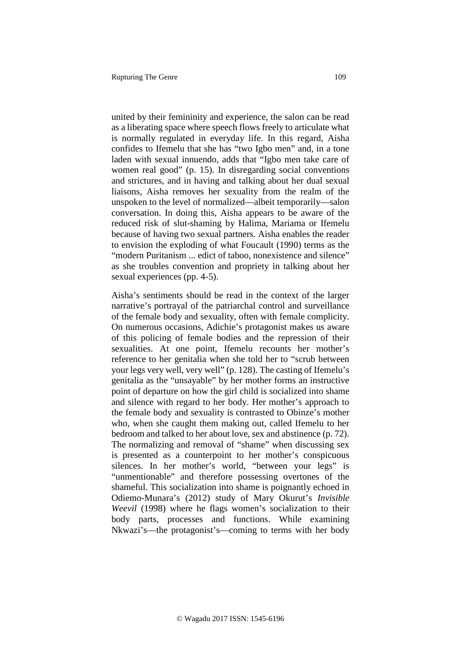united by their femininity and experience, the salon can be read as a liberating space where speech flows freely to articulate what is normally regulated in everyday life. In this regard, Aisha confides to Ifemelu that she has "two Igbo men" and, in a tone laden with sexual innuendo, adds that "Igbo men take care of women real good" (p. 15). In disregarding social conventions and strictures, and in having and talking about her dual sexual liaisons, Aisha removes her sexuality from the realm of the unspoken to the level of normalized—albeit temporarily—salon conversation. In doing this, Aisha appears to be aware of the reduced risk of slut-shaming by Halima, Mariama or Ifemelu because of having two sexual partners. Aisha enables the reader to envision the exploding of what Foucault (1990) terms as the "modern Puritanism ... edict of taboo, nonexistence and silence" as she troubles convention and propriety in talking about her sexual experiences (pp. 4-5).

Aisha's sentiments should be read in the context of the larger narrative's portrayal of the patriarchal control and surveillance of the female body and sexuality, often with female complicity. On numerous occasions, Adichie's protagonist makes us aware of this policing of female bodies and the repression of their sexualities. At one point, Ifemelu recounts her mother's reference to her genitalia when she told her to "scrub between your legs very well, very well" (p. 128). The casting of Ifemelu's genitalia as the "unsayable" by her mother forms an instructive point of departure on how the girl child is socialized into shame and silence with regard to her body. Her mother's approach to the female body and sexuality is contrasted to Obinze's mother who, when she caught them making out, called Ifemelu to her bedroom and talked to her about love, sex and abstinence (p. 72). The normalizing and removal of "shame" when discussing sex is presented as a counterpoint to her mother's conspicuous silences. In her mother's world, "between your legs" is "unmentionable" and therefore possessing overtones of the shameful. This socialization into shame is poignantly echoed in Odiemo-Munara's (2012) study of Mary Okurut's *Invisible Weevil* (1998) where he flags women's socialization to their body parts, processes and functions. While examining Nkwazi's—the protagonist's—coming to terms with her body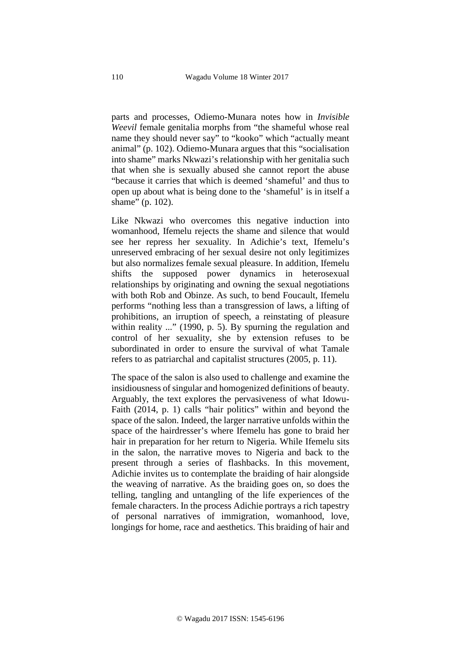parts and processes, Odiemo-Munara notes how in *Invisible Weevil* female genitalia morphs from "the shameful whose real name they should never say" to "kooko" which "actually meant animal" (p. 102). Odiemo-Munara argues that this "socialisation into shame" marks Nkwazi's relationship with her genitalia such that when she is sexually abused she cannot report the abuse "because it carries that which is deemed 'shameful' and thus to open up about what is being done to the 'shameful' is in itself a shame" (p. 102).

Like Nkwazi who overcomes this negative induction into womanhood, Ifemelu rejects the shame and silence that would see her repress her sexuality. In Adichie's text, Ifemelu's unreserved embracing of her sexual desire not only legitimizes but also normalizes female sexual pleasure. In addition, Ifemelu shifts the supposed power dynamics in heterosexual relationships by originating and owning the sexual negotiations with both Rob and Obinze. As such, to bend Foucault, Ifemelu performs "nothing less than a transgression of laws, a lifting of prohibitions, an irruption of speech, a reinstating of pleasure within reality ..." (1990, p. 5). By spurning the regulation and control of her sexuality, she by extension refuses to be subordinated in order to ensure the survival of what Tamale refers to as patriarchal and capitalist structures (2005, p. 11).

The space of the salon is also used to challenge and examine the insidiousness of singular and homogenized definitions of beauty. Arguably, the text explores the pervasiveness of what Idowu-Faith (2014, p. 1) calls "hair politics" within and beyond the space of the salon. Indeed, the larger narrative unfolds within the space of the hairdresser's where Ifemelu has gone to braid her hair in preparation for her return to Nigeria. While Ifemelu sits in the salon, the narrative moves to Nigeria and back to the present through a series of flashbacks. In this movement, Adichie invites us to contemplate the braiding of hair alongside the weaving of narrative. As the braiding goes on, so does the telling, tangling and untangling of the life experiences of the female characters. In the process Adichie portrays a rich tapestry of personal narratives of immigration, womanhood, love, longings for home, race and aesthetics. This braiding of hair and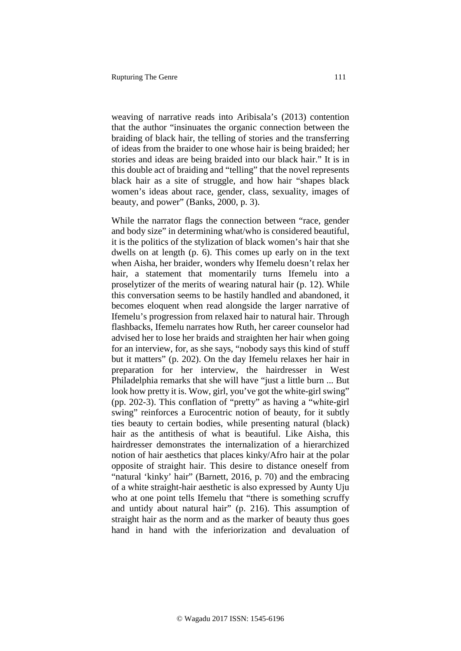weaving of narrative reads into Aribisala's (2013) contention that the author "insinuates the organic connection between the braiding of black hair, the telling of stories and the transferring of ideas from the braider to one whose hair is being braided; her stories and ideas are being braided into our black hair." It is in this double act of braiding and "telling" that the novel represents black hair as a site of struggle, and how hair "shapes black women's ideas about race, gender, class, sexuality, images of beauty, and power" (Banks, 2000, p. 3).

While the narrator flags the connection between "race, gender and body size" in determining what/who is considered beautiful, it is the politics of the stylization of black women's hair that she dwells on at length (p. 6). This comes up early on in the text when Aisha, her braider, wonders why Ifemelu doesn't relax her hair, a statement that momentarily turns Ifemelu into a proselytizer of the merits of wearing natural hair (p. 12). While this conversation seems to be hastily handled and abandoned, it becomes eloquent when read alongside the larger narrative of Ifemelu's progression from relaxed hair to natural hair. Through flashbacks, Ifemelu narrates how Ruth, her career counselor had advised her to lose her braids and straighten her hair when going for an interview, for, as she says, "nobody says this kind of stuff but it matters" (p. 202). On the day Ifemelu relaxes her hair in preparation for her interview, the hairdresser in West Philadelphia remarks that she will have "just a little burn ... But look how pretty it is. Wow, girl, you've got the white-girl swing" (pp. 202-3). This conflation of "pretty" as having a "white-girl swing" reinforces a Eurocentric notion of beauty, for it subtly ties beauty to certain bodies, while presenting natural (black) hair as the antithesis of what is beautiful. Like Aisha, this hairdresser demonstrates the internalization of a hierarchized notion of hair aesthetics that places kinky/Afro hair at the polar opposite of straight hair. This desire to distance oneself from "natural 'kinky' hair" (Barnett, 2016, p. 70) and the embracing of a white straight-hair aesthetic is also expressed by Aunty Uju who at one point tells Ifemelu that "there is something scruffy and untidy about natural hair" (p. 216). This assumption of straight hair as the norm and as the marker of beauty thus goes hand in hand with the inferiorization and devaluation of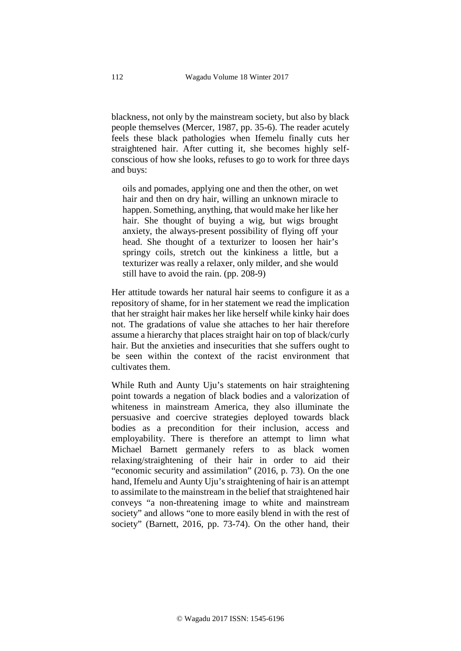blackness, not only by the mainstream society, but also by black people themselves (Mercer, 1987, pp. 35-6). The reader acutely feels these black pathologies when Ifemelu finally cuts her straightened hair. After cutting it, she becomes highly selfconscious of how she looks, refuses to go to work for three days and buys:

oils and pomades, applying one and then the other, on wet hair and then on dry hair, willing an unknown miracle to happen. Something, anything, that would make her like her hair. She thought of buying a wig, but wigs brought anxiety, the always-present possibility of flying off your head. She thought of a texturizer to loosen her hair's springy coils, stretch out the kinkiness a little, but a texturizer was really a relaxer, only milder, and she would still have to avoid the rain. (pp. 208-9)

Her attitude towards her natural hair seems to configure it as a repository of shame, for in her statement we read the implication that her straight hair makes her like herself while kinky hair does not. The gradations of value she attaches to her hair therefore assume a hierarchy that places straight hair on top of black/curly hair. But the anxieties and insecurities that she suffers ought to be seen within the context of the racist environment that cultivates them.

While Ruth and Aunty Uju's statements on hair straightening point towards a negation of black bodies and a valorization of whiteness in mainstream America, they also illuminate the persuasive and coercive strategies deployed towards black bodies as a precondition for their inclusion, access and employability. There is therefore an attempt to limn what Michael Barnett germanely refers to as black women relaxing/straightening of their hair in order to aid their "economic security and assimilation" (2016, p. 73). On the one hand, Ifemelu and Aunty Uju's straightening of hair is an attempt to assimilate to the mainstream in the belief that straightened hair conveys "a non-threatening image to white and mainstream society" and allows "one to more easily blend in with the rest of society" (Barnett, 2016, pp. 73-74). On the other hand, their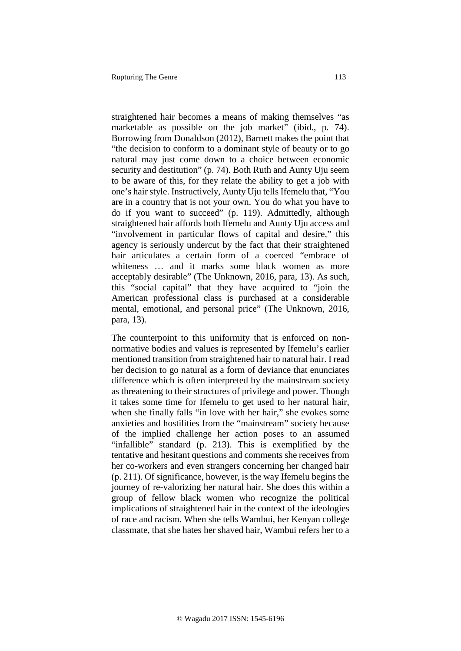straightened hair becomes a means of making themselves "as marketable as possible on the job market" (ibid., p. 74). Borrowing from Donaldson (2012), Barnett makes the point that "the decision to conform to a dominant style of beauty or to go natural may just come down to a choice between economic security and destitution" (p. 74). Both Ruth and Aunty Uju seem to be aware of this, for they relate the ability to get a job with one's hair style. Instructively, Aunty Uju tells Ifemelu that, "You are in a country that is not your own. You do what you have to do if you want to succeed" (p. 119). Admittedly, although straightened hair affords both Ifemelu and Aunty Uju access and "involvement in particular flows of capital and desire," this agency is seriously undercut by the fact that their straightened hair articulates a certain form of a coerced "embrace of whiteness ... and it marks some black women as more acceptably desirable" (The Unknown, 2016, para, 13). As such, this "social capital" that they have acquired to "join the American professional class is purchased at a considerable mental, emotional, and personal price" (The Unknown, 2016, para, 13).

The counterpoint to this uniformity that is enforced on nonnormative bodies and values is represented by Ifemelu's earlier mentioned transition from straightened hair to natural hair. I read her decision to go natural as a form of deviance that enunciates difference which is often interpreted by the mainstream society as threatening to their structures of privilege and power. Though it takes some time for Ifemelu to get used to her natural hair, when she finally falls "in love with her hair," she evokes some anxieties and hostilities from the "mainstream" society because of the implied challenge her action poses to an assumed "infallible" standard (p. 213). This is exemplified by the tentative and hesitant questions and comments she receives from her co-workers and even strangers concerning her changed hair (p. 211). Of significance, however, is the way Ifemelu begins the journey of re-valorizing her natural hair. She does this within a group of fellow black women who recognize the political implications of straightened hair in the context of the ideologies of race and racism. When she tells Wambui, her Kenyan college classmate, that she hates her shaved hair, Wambui refers her to a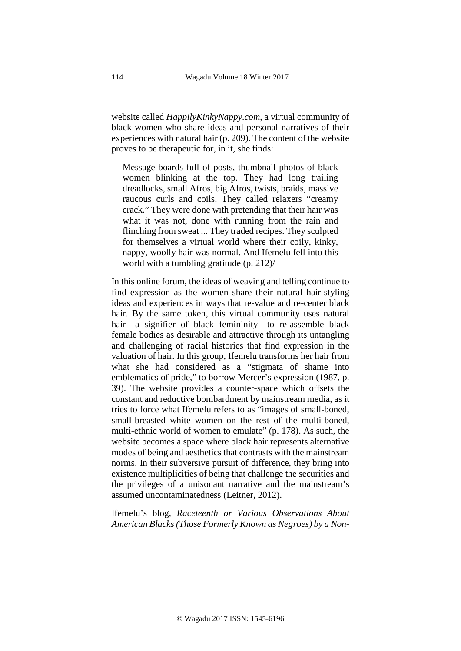website called *HappilyKinkyNappy.com*, a virtual community of black women who share ideas and personal narratives of their experiences with natural hair (p. 209). The content of the website proves to be therapeutic for, in it, she finds:

Message boards full of posts, thumbnail photos of black women blinking at the top. They had long trailing dreadlocks, small Afros, big Afros, twists, braids, massive raucous curls and coils. They called relaxers "creamy crack." They were done with pretending that their hair was what it was not, done with running from the rain and flinching from sweat ... They traded recipes. They sculpted for themselves a virtual world where their coily, kinky, nappy, woolly hair was normal. And Ifemelu fell into this world with a tumbling gratitude (p. 212)/

In this online forum, the ideas of weaving and telling continue to find expression as the women share their natural hair-styling ideas and experiences in ways that re-value and re-center black hair. By the same token, this virtual community uses natural hair—a signifier of black femininity—to re-assemble black female bodies as desirable and attractive through its untangling and challenging of racial histories that find expression in the valuation of hair. In this group, Ifemelu transforms her hair from what she had considered as a "stigmata of shame into emblematics of pride," to borrow Mercer's expression (1987, p. 39). The website provides a counter-space which offsets the constant and reductive bombardment by mainstream media, as it tries to force what Ifemelu refers to as "images of small-boned, small-breasted white women on the rest of the multi-boned, multi-ethnic world of women to emulate" (p. 178). As such, the website becomes a space where black hair represents alternative modes of being and aesthetics that contrasts with the mainstream norms. In their subversive pursuit of difference, they bring into existence multiplicities of being that challenge the securities and the privileges of a unisonant narrative and the mainstream's assumed uncontaminatedness (Leitner, 2012).

Ifemelu's blog, *Raceteenth or Various Observations About American Blacks (Those Formerly Known as Negroes) by a Non-*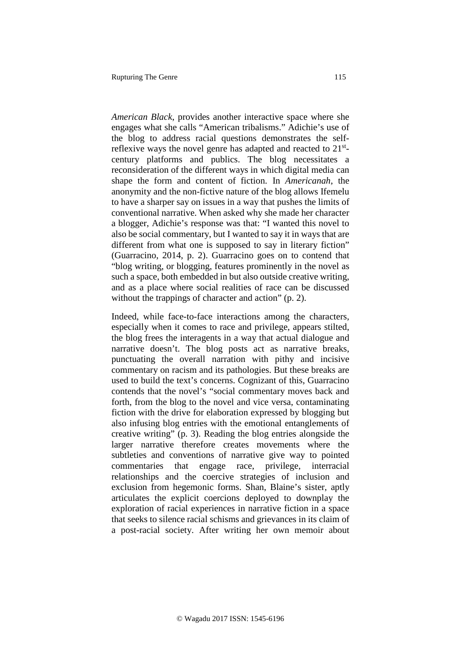*American Black*, provides another interactive space where she engages what she calls "American tribalisms." Adichie's use of the blog to address racial questions demonstrates the selfreflexive ways the novel genre has adapted and reacted to 21stcentury platforms and publics. The blog necessitates a reconsideration of the different ways in which digital media can shape the form and content of fiction. In *Americanah*, the anonymity and the non-fictive nature of the blog allows Ifemelu to have a sharper say on issues in a way that pushes the limits of conventional narrative. When asked why she made her character a blogger, Adichie's response was that: "I wanted this novel to also be social commentary, but I wanted to say it in ways that are different from what one is supposed to say in literary fiction" (Guarracino, 2014, p. 2). Guarracino goes on to contend that "blog writing, or blogging, features prominently in the novel as such a space, both embedded in but also outside creative writing, and as a place where social realities of race can be discussed without the trappings of character and action" (p. 2).

Indeed, while face-to-face interactions among the characters, especially when it comes to race and privilege, appears stilted, the blog frees the interagents in a way that actual dialogue and narrative doesn't. The blog posts act as narrative breaks, punctuating the overall narration with pithy and incisive commentary on racism and its pathologies. But these breaks are used to build the text's concerns. Cognizant of this, Guarracino contends that the novel's "social commentary moves back and forth, from the blog to the novel and vice versa, contaminating fiction with the drive for elaboration expressed by blogging but also infusing blog entries with the emotional entanglements of creative writing" (p. 3). Reading the blog entries alongside the larger narrative therefore creates movements where the subtleties and conventions of narrative give way to pointed commentaries that engage race, privilege, interracial relationships and the coercive strategies of inclusion and exclusion from hegemonic forms. Shan, Blaine's sister, aptly articulates the explicit coercions deployed to downplay the exploration of racial experiences in narrative fiction in a space that seeks to silence racial schisms and grievances in its claim of a post-racial society. After writing her own memoir about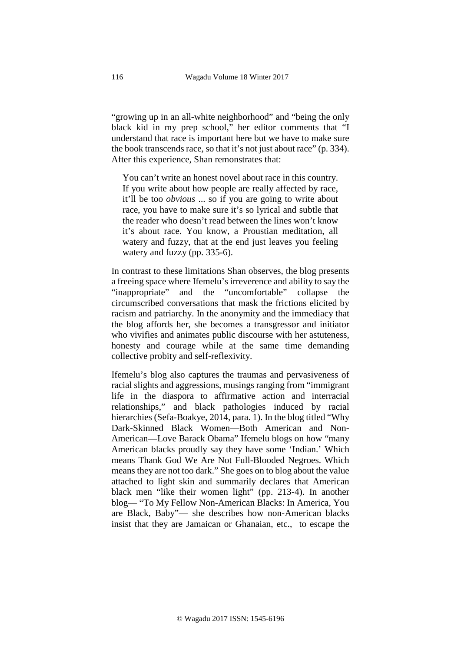"growing up in an all-white neighborhood" and "being the only black kid in my prep school," her editor comments that "I understand that race is important here but we have to make sure the book transcends race, so that it's not just about race" (p. 334). After this experience, Shan remonstrates that:

You can't write an honest novel about race in this country. If you write about how people are really affected by race, it'll be too *obvious* ... so if you are going to write about race, you have to make sure it's so lyrical and subtle that the reader who doesn't read between the lines won't know it's about race. You know, a Proustian meditation, all watery and fuzzy, that at the end just leaves you feeling watery and fuzzy (pp. 335-6).

In contrast to these limitations Shan observes, the blog presents a freeing space where Ifemelu's irreverence and ability to say the "inappropriate" and the "uncomfortable" collapse the circumscribed conversations that mask the frictions elicited by racism and patriarchy. In the anonymity and the immediacy that the blog affords her, she becomes a transgressor and initiator who vivifies and animates public discourse with her astuteness, honesty and courage while at the same time demanding collective probity and self-reflexivity.

Ifemelu's blog also captures the traumas and pervasiveness of racial slights and aggressions, musings ranging from "immigrant life in the diaspora to affirmative action and interracial relationships," and black pathologies induced by racial hierarchies (Sefa-Boakye, 2014, para. 1). In the blog titled "Why Dark-Skinned Black Women—Both American and Non-American—Love Barack Obama" Ifemelu blogs on how "many American blacks proudly say they have some 'Indian.' Which means Thank God We Are Not Full-Blooded Negroes. Which means they are not too dark." She goes on to blog about the value attached to light skin and summarily declares that American black men "like their women light" (pp. 213-4). In another blog— "To My Fellow Non-American Blacks: In America, You are Black, Baby"— she describes how non-American blacks insist that they are Jamaican or Ghanaian, etc., to escape the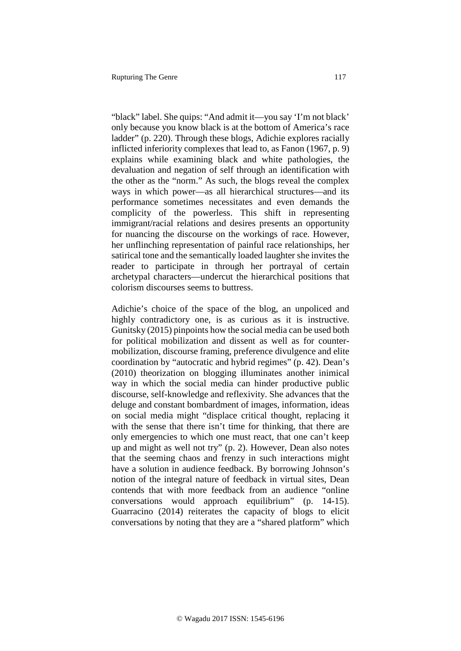"black" label. She quips: "And admit it—you say 'I'm not black' only because you know black is at the bottom of America's race ladder" (p. 220). Through these blogs, Adichie explores racially inflicted inferiority complexes that lead to, as Fanon (1967, p. 9) explains while examining black and white pathologies, the devaluation and negation of self through an identification with the other as the "norm." As such, the blogs reveal the complex ways in which power—as all hierarchical structures—and its performance sometimes necessitates and even demands the complicity of the powerless. This shift in representing immigrant/racial relations and desires presents an opportunity for nuancing the discourse on the workings of race. However, her unflinching representation of painful race relationships, her satirical tone and the semantically loaded laughter she invites the reader to participate in through her portrayal of certain archetypal characters—undercut the hierarchical positions that colorism discourses seems to buttress.

Adichie's choice of the space of the blog, an unpoliced and highly contradictory one, is as curious as it is instructive. Gunitsky (2015) pinpoints how the social media can be used both for political mobilization and dissent as well as for countermobilization, discourse framing, preference divulgence and elite coordination by "autocratic and hybrid regimes" (p. 42). Dean's (2010) theorization on blogging illuminates another inimical way in which the social media can hinder productive public discourse, self-knowledge and reflexivity. She advances that the deluge and constant bombardment of images, information, ideas on social media might "displace critical thought, replacing it with the sense that there isn't time for thinking, that there are only emergencies to which one must react, that one can't keep up and might as well not try" (p. 2). However, Dean also notes that the seeming chaos and frenzy in such interactions might have a solution in audience feedback. By borrowing Johnson's notion of the integral nature of feedback in virtual sites, Dean contends that with more feedback from an audience "online conversations would approach equilibrium" (p. 14-15). Guarracino (2014) reiterates the capacity of blogs to elicit conversations by noting that they are a "shared platform" which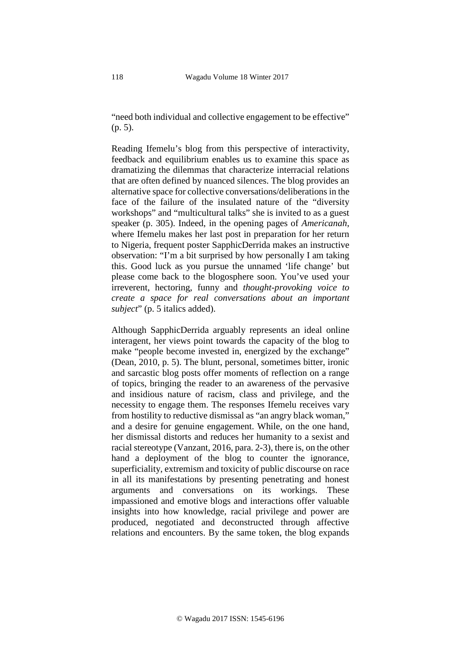"need both individual and collective engagement to be effective" (p. 5).

Reading Ifemelu's blog from this perspective of interactivity, feedback and equilibrium enables us to examine this space as dramatizing the dilemmas that characterize interracial relations that are often defined by nuanced silences. The blog provides an alternative space for collective conversations/deliberations in the face of the failure of the insulated nature of the "diversity workshops" and "multicultural talks" she is invited to as a guest speaker (p. 305). Indeed, in the opening pages of *Americanah*, where Ifemelu makes her last post in preparation for her return to Nigeria, frequent poster SapphicDerrida makes an instructive observation: "I'm a bit surprised by how personally I am taking this. Good luck as you pursue the unnamed 'life change' but please come back to the blogosphere soon. You've used your irreverent, hectoring, funny and *thought-provoking voice to create a space for real conversations about an important subject*" (p. 5 italics added).

Although SapphicDerrida arguably represents an ideal online interagent, her views point towards the capacity of the blog to make "people become invested in, energized by the exchange" (Dean, 2010, p. 5). The blunt, personal, sometimes bitter, ironic and sarcastic blog posts offer moments of reflection on a range of topics, bringing the reader to an awareness of the pervasive and insidious nature of racism, class and privilege, and the necessity to engage them. The responses Ifemelu receives vary from hostility to reductive dismissal as "an angry black woman," and a desire for genuine engagement. While, on the one hand, her dismissal distorts and reduces her humanity to a sexist and racial stereotype (Vanzant, 2016, para. 2-3), there is, on the other hand a deployment of the blog to counter the ignorance, superficiality, extremism and toxicity of public discourse on race in all its manifestations by presenting penetrating and honest arguments and conversations on its workings. These impassioned and emotive blogs and interactions offer valuable insights into how knowledge, racial privilege and power are produced, negotiated and deconstructed through affective relations and encounters. By the same token, the blog expands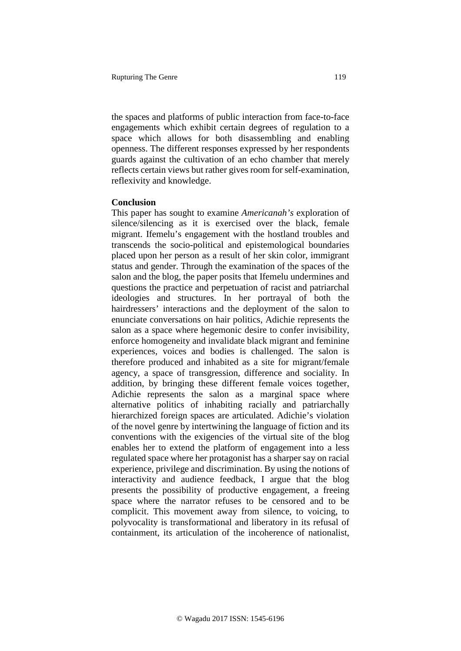the spaces and platforms of public interaction from face-to-face engagements which exhibit certain degrees of regulation to a space which allows for both disassembling and enabling openness. The different responses expressed by her respondents guards against the cultivation of an echo chamber that merely reflects certain views but rather gives room for self-examination, reflexivity and knowledge.

### **Conclusion**

This paper has sought to examine *Americanah's* exploration of silence/silencing as it is exercised over the black, female migrant. Ifemelu's engagement with the hostland troubles and transcends the socio-political and epistemological boundaries placed upon her person as a result of her skin color, immigrant status and gender. Through the examination of the spaces of the salon and the blog, the paper posits that Ifemelu undermines and questions the practice and perpetuation of racist and patriarchal ideologies and structures. In her portrayal of both the hairdressers' interactions and the deployment of the salon to enunciate conversations on hair politics, Adichie represents the salon as a space where hegemonic desire to confer invisibility, enforce homogeneity and invalidate black migrant and feminine experiences, voices and bodies is challenged. The salon is therefore produced and inhabited as a site for migrant/female agency, a space of transgression, difference and sociality. In addition, by bringing these different female voices together, Adichie represents the salon as a marginal space where alternative politics of inhabiting racially and patriarchally hierarchized foreign spaces are articulated. Adichie's violation of the novel genre by intertwining the language of fiction and its conventions with the exigencies of the virtual site of the blog enables her to extend the platform of engagement into a less regulated space where her protagonist has a sharper say on racial experience, privilege and discrimination. By using the notions of interactivity and audience feedback, I argue that the blog presents the possibility of productive engagement, a freeing space where the narrator refuses to be censored and to be complicit. This movement away from silence, to voicing, to polyvocality is transformational and liberatory in its refusal of containment, its articulation of the incoherence of nationalist,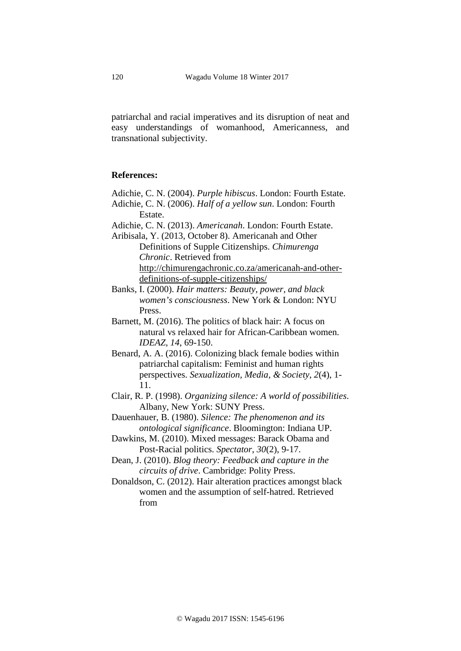patriarchal and racial imperatives and its disruption of neat and easy understandings of womanhood, Americanness, and transnational subjectivity.

### **References:**

Adichie, C. N. (2004). *Purple hibiscus*. London: Fourth Estate. Adichie, C. N. (2006). *Half of a yellow sun*. London: Fourth Estate.

Adichie, C. N. (2013). *Americanah*. London: Fourth Estate.

Aribisala, Y. (2013, October 8). Americanah and Other Definitions of Supple Citizenships. *Chimurenga Chronic*. Retrieved from [http://chimurengachronic.co.za/americanah-and-other](http://chimurengachronic.co.za/americanah-and-other-definitions-of-supple-citizenships/)[definitions-of-supple-citizenships/](http://chimurengachronic.co.za/americanah-and-other-definitions-of-supple-citizenships/)

Banks, I. (2000). *Hair matters: Beauty, power, and black women's consciousness*. New York & London: NYU Press.

Barnett, M. (2016). The politics of black hair: A focus on natural vs relaxed hair for African-Caribbean women. *IDEAZ*, *14*, 69-150.

Benard, A. A. (2016). Colonizing black female bodies within patriarchal capitalism: Feminist and human rights perspectives. *Sexualization, Media, & Society*, *2*(4), 1- 11.

Clair, R. P. (1998). *Organizing silence: A world of possibilities*. Albany, New York: SUNY Press.

Dauenhauer, B. (1980). *Silence: The phenomenon and its ontological significance*. Bloomington: Indiana UP.

Dawkins, M. (2010). Mixed messages: Barack Obama and Post-Racial politics. *Spectator*, *30*(2), 9-17.

Dean, J. (2010). *Blog theory: Feedback and capture in the circuits of drive*. Cambridge: Polity Press.

Donaldson, C. (2012). Hair alteration practices amongst black women and the assumption of self-hatred. Retrieved from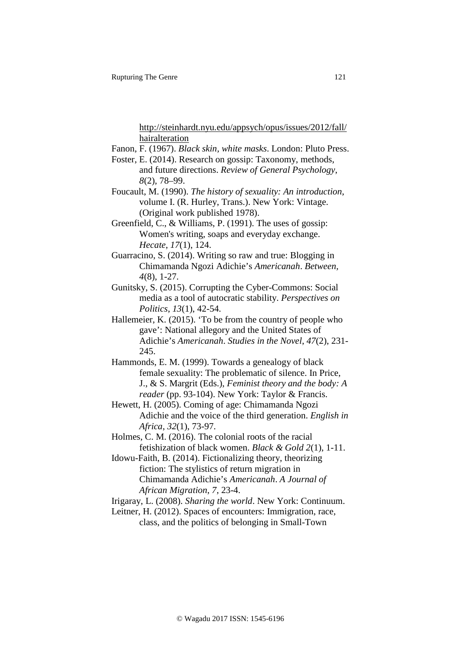[http://steinhardt.nyu.edu/appsych/opus/issues/2012/fall/](http://steinhardt.nyu.edu/appsych/opus/issues/2012/fall/hairalteration) [hairalteration](http://steinhardt.nyu.edu/appsych/opus/issues/2012/fall/hairalteration)

- Fanon, F. (1967). *Black skin, white masks*. London: Pluto Press.
- Foster, E. (2014). Research on gossip: Taxonomy, methods, and future directions. *Review of General Psychology*, *8*(2), 78–99.
- Foucault, M. (1990). *The history of sexuality: An introduction*, volume I. (R. Hurley, Trans.). New York: Vintage. (Original work published 1978).
- Greenfield, C., & Williams, P. (1991). The uses of gossip: Women's writing, soaps and everyday exchange. *Hecate*, *17*(1), 124.
- Guarracino, S. (2014). Writing so raw and true: Blogging in Chimamanda Ngozi Adichie's *Americanah*. *Between, 4*(8), 1-27.
- Gunitsky, S. (2015). Corrupting the Cyber-Commons: Social media as a tool of autocratic stability. *Perspectives on Politics*, *13*(1), 42-54.
- Hallemeier, K. (2015). 'To be from the country of people who gave': National allegory and the United States of Adichie's *Americanah*. *Studies in the Novel*, *47*(2), 231- 245.
- Hammonds, E. M. (1999). Towards a genealogy of black female sexuality: The problematic of silence. In Price, J., & S. Margrit (Eds.), *Feminist theory and the body: A reader* (pp. 93-104). New York: Taylor & Francis.
- Hewett, H. (2005). Coming of age: Chimamanda Ngozi Adichie and the voice of the third generation. *English in Africa*, *32*(1), 73-97.
- Holmes, C. M. (2016). The colonial roots of the racial fetishization of black women. *Black & Gold 2*(1), 1-11.
- Idowu-Faith, B. (2014). Fictionalizing theory, theorizing fiction: The stylistics of return migration in Chimamanda Adichie's *Americanah*. *A Journal of African Migration*, *7*, 23-4.
- Irigaray, L. (2008). *Sharing the world*. New York: Continuum.
- Leitner, H. (2012). Spaces of encounters: Immigration, race, class, and the politics of belonging in Small-Town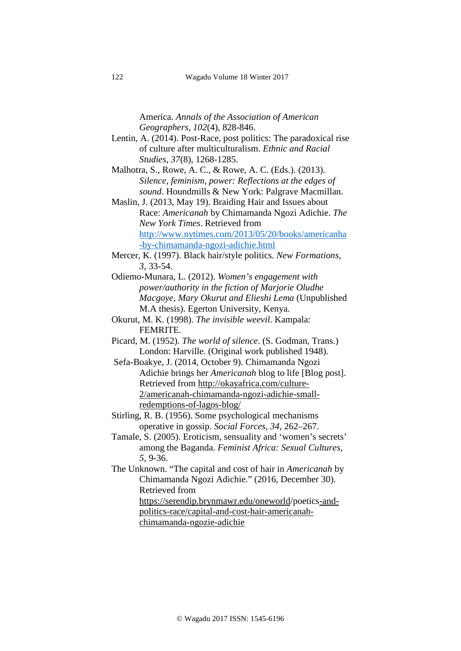America. *Annals of the Association of American Geographers*, *102*(4), 828-846.

- Lentin, A. (2014). Post-Race, post politics: The paradoxical rise of culture after multiculturalism. *Ethnic and Racial Studies*, *37*(8), 1268-1285.
- Malhotra, S., Rowe, A. C., & Rowe, A. C. (Eds.). (2013). *Silence, feminism, power: Reflections at the edges of sound*. Houndmills & New York: Palgrave Macmillan.
- Maslin, J. (2013, May 19). Braiding Hair and Issues about Race: *Americanah* by Chimamanda Ngozi Adichie. *The New York Times*. Retrieved from [http://www.nytimes.com/2013/05/20/books/americanha](http://www.nytimes.com/2013/05/20/books/americanha-by-chimamanda-ngozi-adichie.html) [-by-chimamanda-ngozi-adichie.html](http://www.nytimes.com/2013/05/20/books/americanha-by-chimamanda-ngozi-adichie.html)
- Mercer, K. (1997). Black hair/style politics. *New Formations*, *3*, 33-54.
- Odiemo-Munara, L. (2012). *Women's engagement with power/authority in the fiction of Marjorie Oludhe Macgoye, Mary Okurut and Elieshi Lema* (Unpublished M.A thesis). Egerton University, Kenya.
- Okurut, M. K. (1998). *The invisible weevil*. Kampala: FEMRITE.
- Picard, M. (1952). *The world of silence*. (S. Godman, Trans.) London: Harville. (Original work published 1948).
- Sefa-Boakye, J. (2014, October 9). Chimamanda Ngozi Adichie brings her *Americanah* blog to life [Blog post]. Retrieved from [http://okayafrica.com/culture-](http://okayafrica.com/culture-2/americanah-chimamanda-ngozi-adichie-small-redemptions-of-lagos-blog/)[2/americanah-chimamanda-ngozi-adichie-small](http://okayafrica.com/culture-2/americanah-chimamanda-ngozi-adichie-small-redemptions-of-lagos-blog/)[redemptions-of-lagos-blog/](http://okayafrica.com/culture-2/americanah-chimamanda-ngozi-adichie-small-redemptions-of-lagos-blog/)
- Stirling, R. B. (1956). Some psychological mechanisms operative in gossip. *Social Forces, 34*, 262–267.
- Tamale, S. (2005). Eroticism, sensuality and 'women's secrets' among the Baganda. *Feminist Africa: Sexual Cultures*, *5,* 9-36.
- The Unknown. "The capital and cost of hair in *Americanah* by Chimamanda Ngozi Adichie." (2016, December 30). Retrieved from [https://serendip.brynmawr.edu/oneworld/](https://serendip.brynmawr.edu/oneworld)poetic[s-and](https://serendip.brynmawr.edu/oneworld/poetics%20-and-politics-race/capital-and-cost-hair-americanah-chimamanda-ngozie-adichie)[politics-race/capital-and-cost-hair-americanah](https://serendip.brynmawr.edu/oneworld/poetics%20-and-politics-race/capital-and-cost-hair-americanah-chimamanda-ngozie-adichie)[chimamanda-ngozie-adichie](https://serendip.brynmawr.edu/oneworld/poetics%20-and-politics-race/capital-and-cost-hair-americanah-chimamanda-ngozie-adichie)